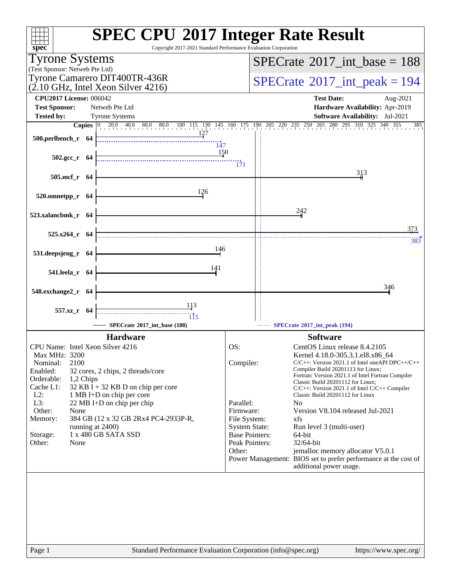| $spec^*$                                                                                                                                                                                                                                                                                                                                                                                                                                          | <b>SPEC CPU®2017 Integer Rate Result</b><br>Copyright 2017-2021 Standard Performance Evaluation Corporation                                                                                                                                                                                                                                                                                                                                                                                                                                                                                                                                                                                                                                                        |
|---------------------------------------------------------------------------------------------------------------------------------------------------------------------------------------------------------------------------------------------------------------------------------------------------------------------------------------------------------------------------------------------------------------------------------------------------|--------------------------------------------------------------------------------------------------------------------------------------------------------------------------------------------------------------------------------------------------------------------------------------------------------------------------------------------------------------------------------------------------------------------------------------------------------------------------------------------------------------------------------------------------------------------------------------------------------------------------------------------------------------------------------------------------------------------------------------------------------------------|
| <b>Tyrone Systems</b>                                                                                                                                                                                                                                                                                                                                                                                                                             | $SPECrate^{\circ}2017\_int\_base = 188$                                                                                                                                                                                                                                                                                                                                                                                                                                                                                                                                                                                                                                                                                                                            |
| (Test Sponsor: Netweb Pte Ltd)                                                                                                                                                                                                                                                                                                                                                                                                                    |                                                                                                                                                                                                                                                                                                                                                                                                                                                                                                                                                                                                                                                                                                                                                                    |
| Tyrone Camarero DIT400TR-436R<br>$(2.10 \text{ GHz}, \text{Intel Xeon Silver } 4216)$                                                                                                                                                                                                                                                                                                                                                             | $SPECrate^{\circ}2017\_int\_peak = 194$                                                                                                                                                                                                                                                                                                                                                                                                                                                                                                                                                                                                                                                                                                                            |
| <b>CPU2017 License: 006042</b>                                                                                                                                                                                                                                                                                                                                                                                                                    | <b>Test Date:</b><br>Aug-2021                                                                                                                                                                                                                                                                                                                                                                                                                                                                                                                                                                                                                                                                                                                                      |
| <b>Test Sponsor:</b><br>Netweb Pte Ltd                                                                                                                                                                                                                                                                                                                                                                                                            | Hardware Availability: Apr-2019                                                                                                                                                                                                                                                                                                                                                                                                                                                                                                                                                                                                                                                                                                                                    |
| <b>Tested by:</b><br><b>Tyrone Systems</b>                                                                                                                                                                                                                                                                                                                                                                                                        | Software Availability: Jul-2021<br>385                                                                                                                                                                                                                                                                                                                                                                                                                                                                                                                                                                                                                                                                                                                             |
| 500.perlbench_r 64<br>$\overline{147}$                                                                                                                                                                                                                                                                                                                                                                                                            | <b>Copies</b> $\begin{bmatrix} 0 & 20.0 & 40.0 & 60.0 & 80.0 & 100 & 115 & 130 & 145 & 160 & 175 & 190 & 205 & 220 & 235 & 250 & 265 & 280 & 295 & 310 & 325 & 340 & 355 \end{bmatrix}$                                                                                                                                                                                                                                                                                                                                                                                                                                                                                                                                                                            |
| <u>150</u><br>$502.\text{gcc r}$ 64                                                                                                                                                                                                                                                                                                                                                                                                               | $\overline{171}$                                                                                                                                                                                                                                                                                                                                                                                                                                                                                                                                                                                                                                                                                                                                                   |
| 505.mcf_r 64                                                                                                                                                                                                                                                                                                                                                                                                                                      | 313                                                                                                                                                                                                                                                                                                                                                                                                                                                                                                                                                                                                                                                                                                                                                                |
| 126<br>520.omnetpp_r 64                                                                                                                                                                                                                                                                                                                                                                                                                           |                                                                                                                                                                                                                                                                                                                                                                                                                                                                                                                                                                                                                                                                                                                                                                    |
| 523.xalancbmk_r 64                                                                                                                                                                                                                                                                                                                                                                                                                                | 242                                                                                                                                                                                                                                                                                                                                                                                                                                                                                                                                                                                                                                                                                                                                                                |
| 525.x264_r 64                                                                                                                                                                                                                                                                                                                                                                                                                                     | 373<br>383                                                                                                                                                                                                                                                                                                                                                                                                                                                                                                                                                                                                                                                                                                                                                         |
| 146<br>531.deepsjeng_r 64                                                                                                                                                                                                                                                                                                                                                                                                                         |                                                                                                                                                                                                                                                                                                                                                                                                                                                                                                                                                                                                                                                                                                                                                                    |
| 141<br>541.leela_r 64                                                                                                                                                                                                                                                                                                                                                                                                                             |                                                                                                                                                                                                                                                                                                                                                                                                                                                                                                                                                                                                                                                                                                                                                                    |
| 548.exchange2_r 64                                                                                                                                                                                                                                                                                                                                                                                                                                | 346                                                                                                                                                                                                                                                                                                                                                                                                                                                                                                                                                                                                                                                                                                                                                                |
| 557.xz_r 64<br>ïi5<br>SPECrate*2017_int_base (188)                                                                                                                                                                                                                                                                                                                                                                                                | SPECrate®2017_int_peak (194)                                                                                                                                                                                                                                                                                                                                                                                                                                                                                                                                                                                                                                                                                                                                       |
|                                                                                                                                                                                                                                                                                                                                                                                                                                                   |                                                                                                                                                                                                                                                                                                                                                                                                                                                                                                                                                                                                                                                                                                                                                                    |
| <b>Hardware</b><br>CPU Name: Intel Xeon Silver 4216<br>Max MHz: 3200<br>2100<br>Nominal:<br>Enabled:<br>32 cores, 2 chips, 2 threads/core<br>Orderable:<br>1,2 Chips<br>Cache L1:<br>32 KB I + 32 KB D on chip per core<br>$L2$ :<br>1 MB I+D on chip per core<br>L3:<br>22 MB I+D on chip per chip<br>Other:<br>None<br>384 GB (12 x 32 GB 2Rx4 PC4-2933P-R,<br>Memory:<br>running at 2400)<br>1 x 480 GB SATA SSD<br>Storage:<br>Other:<br>None | <b>Software</b><br>OS:<br>CentOS Linux release 8.4.2105<br>Kernel 4.18.0-305.3.1.el8.x86_64<br>Compiler:<br>$C/C++$ : Version 2021.1 of Intel one API DPC++/C++<br>Compiler Build 20201113 for Linux;<br>Fortran: Version 2021.1 of Intel Fortran Compiler<br>Classic Build 20201112 for Linux;<br>$C/C++$ : Version 2021.1 of Intel $C/C++$ Compiler<br>Classic Build 20201112 for Linux<br>Parallel:<br>N <sub>0</sub><br>Firmware:<br>Version V8.104 released Jul-2021<br>File System:<br>xfs<br><b>System State:</b><br>Run level 3 (multi-user)<br><b>Base Pointers:</b><br>64-bit<br>Peak Pointers:<br>32/64-bit<br>Other:<br>jemalloc memory allocator V5.0.1<br>Power Management: BIOS set to prefer performance at the cost of<br>additional power usage. |
| Page 1                                                                                                                                                                                                                                                                                                                                                                                                                                            | Standard Performance Evaluation Corporation (info@spec.org)<br>https://www.spec.org/                                                                                                                                                                                                                                                                                                                                                                                                                                                                                                                                                                                                                                                                               |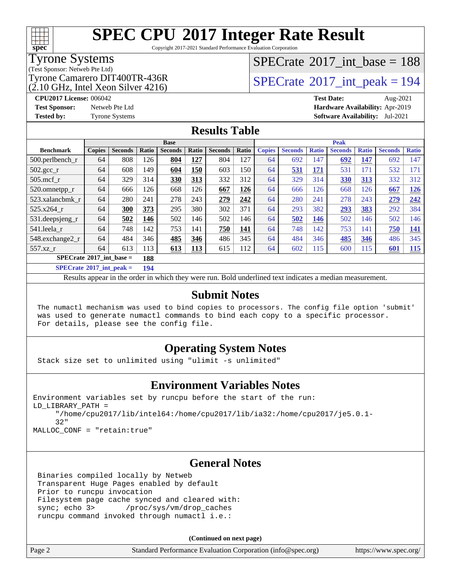# **[spec](http://www.spec.org/)**

# **[SPEC CPU](http://www.spec.org/auto/cpu2017/Docs/result-fields.html#SPECCPU2017IntegerRateResult)[2017 Integer Rate Result](http://www.spec.org/auto/cpu2017/Docs/result-fields.html#SPECCPU2017IntegerRateResult)**

Copyright 2017-2021 Standard Performance Evaluation Corporation

### Tyrone Systems

(Test Sponsor: Netweb Pte Ltd)

 $(2.10 \text{ GHz}, \text{Intel Xeon Silver } 4216)$ 

### $SPECrate$ <sup>®</sup>[2017\\_int\\_base =](http://www.spec.org/auto/cpu2017/Docs/result-fields.html#SPECrate2017intbase) 188

### Tyrone Camarero DIT400TR-436R<br> $\alpha$  10 GHz, Intel Xeon Silver 4216)

**[CPU2017 License:](http://www.spec.org/auto/cpu2017/Docs/result-fields.html#CPU2017License)** 006042 **[Test Date:](http://www.spec.org/auto/cpu2017/Docs/result-fields.html#TestDate)** Aug-2021 **[Test Sponsor:](http://www.spec.org/auto/cpu2017/Docs/result-fields.html#TestSponsor)** Netweb Pte Ltd **[Hardware Availability:](http://www.spec.org/auto/cpu2017/Docs/result-fields.html#HardwareAvailability)** Apr-2019 **[Tested by:](http://www.spec.org/auto/cpu2017/Docs/result-fields.html#Testedby)** Tyrone Systems **[Software Availability:](http://www.spec.org/auto/cpu2017/Docs/result-fields.html#SoftwareAvailability)** Jul-2021

### **[Results Table](http://www.spec.org/auto/cpu2017/Docs/result-fields.html#ResultsTable)**

| <b>Base</b>                       |               |                |                      | <b>Peak</b>    |       |                |       |               |                |              |                |              |                |              |
|-----------------------------------|---------------|----------------|----------------------|----------------|-------|----------------|-------|---------------|----------------|--------------|----------------|--------------|----------------|--------------|
| <b>Benchmark</b>                  | <b>Copies</b> | <b>Seconds</b> | Ratio                | <b>Seconds</b> | Ratio | <b>Seconds</b> | Ratio | <b>Copies</b> | <b>Seconds</b> | <b>Ratio</b> | <b>Seconds</b> | <b>Ratio</b> | <b>Seconds</b> | <b>Ratio</b> |
| 500.perlbench_r                   | 64            | 808            | 126                  | 804            | 127   | 804            | 127   | 64            | 692            | 147          | 692            | 147          | 692            | 147          |
| $502.\text{gcc\_r}$               | 64            | 608            | 149                  | 604            | 150   | 603            | 150   | 64            | 531            | 171          | 531            | 171          | 532            | 171          |
| $505$ .mcf r                      | 64            | 329            | 314                  | 330            | 313   | 332            | 312   | 64            | 329            | 314          | 330            | 313          | 332            | 312          |
| 520.omnetpp_r                     | 64            | 666            | 126                  | 668            | 126   | 667            | 126   | 64            | 666            | 126          | 668            | 126          | 667            | 126          |
| 523.xalancbmk r                   | 64            | 280            | 241                  | 278            | 243   | 279            | 242   | 64            | 280            | 241          | 278            | 243          | 279            | 242          |
| 525.x264 r                        | 64            | 300            | 373                  | 295            | 380   | 302            | 371   | 64            | 293            | 382          | 293            | 383          | 292            | 384          |
| 531.deepsjeng_r                   | 64            | 502            | 146                  | 502            | 146   | 502            | 146   | 64            | 502            | 146          | 502            | 146          | 502            | 146          |
| 541.leela r                       | 64            | 748            | 142                  | 753            | 141   | 750            | 141   | 64            | 748            | 142          | 753            | 141          | 750            | <u>141</u>   |
| 548.exchange2_r                   | 64            | 484            | 346                  | 485            | 346   | 486            | 345   | 64            | 484            | 346          | 485            | 346          | 486            | 345          |
| 557.xz r                          | 64            | 613            | 113                  | 613            | 113   | 615            | 112   | 64            | 602            | 115          | 600            | 115          | 601            | <b>115</b>   |
| $SPECrate^{\circ}2017$ int base = |               |                | 188                  |                |       |                |       |               |                |              |                |              |                |              |
| $CDEDC = 1.6904E^{-1}$ and $1.1$  |               |                | $\sim$ $\sim$ $\sim$ |                |       |                |       |               |                |              |                |              |                |              |

**[SPECrate](http://www.spec.org/auto/cpu2017/Docs/result-fields.html#SPECrate2017intpeak)[2017\\_int\\_peak =](http://www.spec.org/auto/cpu2017/Docs/result-fields.html#SPECrate2017intpeak) 194**

Results appear in the [order in which they were run](http://www.spec.org/auto/cpu2017/Docs/result-fields.html#RunOrder). Bold underlined text [indicates a median measurement](http://www.spec.org/auto/cpu2017/Docs/result-fields.html#Median).

#### **[Submit Notes](http://www.spec.org/auto/cpu2017/Docs/result-fields.html#SubmitNotes)**

 The numactl mechanism was used to bind copies to processors. The config file option 'submit' was used to generate numactl commands to bind each copy to a specific processor. For details, please see the config file.

### **[Operating System Notes](http://www.spec.org/auto/cpu2017/Docs/result-fields.html#OperatingSystemNotes)**

Stack size set to unlimited using "ulimit -s unlimited"

### **[Environment Variables Notes](http://www.spec.org/auto/cpu2017/Docs/result-fields.html#EnvironmentVariablesNotes)**

```
Environment variables set by runcpu before the start of the run:
LD_LIBRARY_PATH =
      "/home/cpu2017/lib/intel64:/home/cpu2017/lib/ia32:/home/cpu2017/je5.0.1-
      32"
```
MALLOC\_CONF = "retain:true"

### **[General Notes](http://www.spec.org/auto/cpu2017/Docs/result-fields.html#GeneralNotes)**

 Binaries compiled locally by Netweb Transparent Huge Pages enabled by default Prior to runcpu invocation Filesystem page cache synced and cleared with: sync; echo 3> /proc/sys/vm/drop\_caches runcpu command invoked through numactl i.e.:

**(Continued on next page)**

| Page 2 | Standard Performance Evaluation Corporation (info@spec.org) | https://www.spec.org/ |
|--------|-------------------------------------------------------------|-----------------------|
|        |                                                             |                       |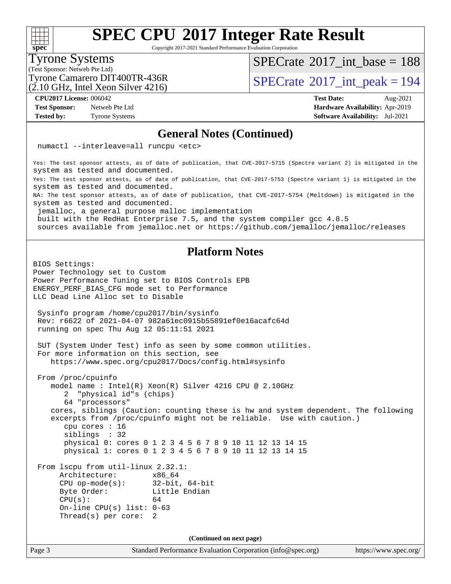Copyright 2017-2021 Standard Performance Evaluation Corporation

### Tyrone Systems

**[spec](http://www.spec.org/)**

 $+\!\!+\!\!$ 

(Test Sponsor: Netweb Pte Ltd)

(2.10 GHz, Intel Xeon Silver 4216)

 $SPECrate$ <sup>®</sup>[2017\\_int\\_base =](http://www.spec.org/auto/cpu2017/Docs/result-fields.html#SPECrate2017intbase) 188

Tyrone Camarero DIT400TR-436R<br> $(2.10 \text{ GHz, Intel Yoon Silver } 4216)$  [SPECrate](http://www.spec.org/auto/cpu2017/Docs/result-fields.html#SPECrate2017intpeak)®[2017\\_int\\_peak = 1](http://www.spec.org/auto/cpu2017/Docs/result-fields.html#SPECrate2017intpeak)94

**[Test Sponsor:](http://www.spec.org/auto/cpu2017/Docs/result-fields.html#TestSponsor)** Netweb Pte Ltd **[Hardware Availability:](http://www.spec.org/auto/cpu2017/Docs/result-fields.html#HardwareAvailability)** Apr-2019

**[CPU2017 License:](http://www.spec.org/auto/cpu2017/Docs/result-fields.html#CPU2017License)** 006042 **[Test Date:](http://www.spec.org/auto/cpu2017/Docs/result-fields.html#TestDate)** Aug-2021 **[Tested by:](http://www.spec.org/auto/cpu2017/Docs/result-fields.html#Testedby)** Tyrone Systems **[Software Availability:](http://www.spec.org/auto/cpu2017/Docs/result-fields.html#SoftwareAvailability)** Jul-2021

#### **[General Notes \(Continued\)](http://www.spec.org/auto/cpu2017/Docs/result-fields.html#GeneralNotes)**

numactl --interleave=all runcpu <etc>

Yes: The test sponsor attests, as of date of publication, that CVE-2017-5715 (Spectre variant 2) is mitigated in the system as tested and documented.

Yes: The test sponsor attests, as of date of publication, that CVE-2017-5753 (Spectre variant 1) is mitigated in the system as tested and documented.

NA: The test sponsor attests, as of date of publication, that CVE-2017-5754 (Meltdown) is mitigated in the system as tested and documented.

jemalloc, a general purpose malloc implementation

built with the RedHat Enterprise 7.5, and the system compiler gcc 4.8.5

sources available from jemalloc.net or<https://github.com/jemalloc/jemalloc/releases>

### **[Platform Notes](http://www.spec.org/auto/cpu2017/Docs/result-fields.html#PlatformNotes)**

Page 3 Standard Performance Evaluation Corporation [\(info@spec.org\)](mailto:info@spec.org) <https://www.spec.org/> BIOS Settings: Power Technology set to Custom Power Performance Tuning set to BIOS Controls EPB ENERGY\_PERF\_BIAS\_CFG mode set to Performance LLC Dead Line Alloc set to Disable Sysinfo program /home/cpu2017/bin/sysinfo Rev: r6622 of 2021-04-07 982a61ec0915b55891ef0e16acafc64d running on spec Thu Aug 12 05:11:51 2021 SUT (System Under Test) info as seen by some common utilities. For more information on this section, see <https://www.spec.org/cpu2017/Docs/config.html#sysinfo> From /proc/cpuinfo model name : Intel(R) Xeon(R) Silver 4216 CPU @ 2.10GHz 2 "physical id"s (chips) 64 "processors" cores, siblings (Caution: counting these is hw and system dependent. The following excerpts from /proc/cpuinfo might not be reliable. Use with caution.) cpu cores : 16 siblings : 32 physical 0: cores 0 1 2 3 4 5 6 7 8 9 10 11 12 13 14 15 physical 1: cores 0 1 2 3 4 5 6 7 8 9 10 11 12 13 14 15 From lscpu from util-linux 2.32.1: Architecture: x86\_64 CPU op-mode(s): 32-bit, 64-bit Byte Order: Little Endian  $CPU(s):$  64 On-line CPU(s) list: 0-63 Thread(s) per core: 2 **(Continued on next page)**

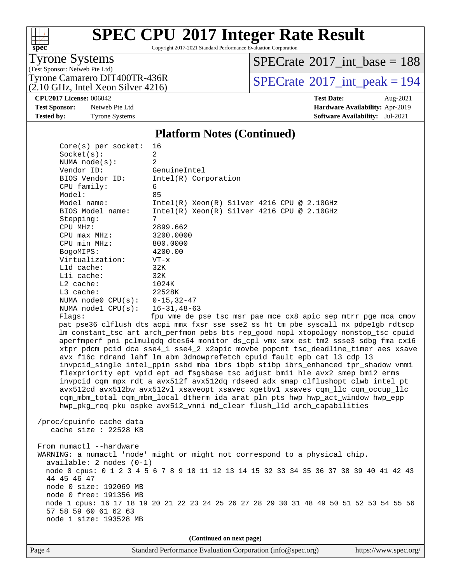# **[spec](http://www.spec.org/)**

# **[SPEC CPU](http://www.spec.org/auto/cpu2017/Docs/result-fields.html#SPECCPU2017IntegerRateResult)[2017 Integer Rate Result](http://www.spec.org/auto/cpu2017/Docs/result-fields.html#SPECCPU2017IntegerRateResult)**

Copyright 2017-2021 Standard Performance Evaluation Corporation

### Tyrone Systems

(Test Sponsor: Netweb Pte Ltd)  $(2.10 \text{ GHz}, \text{Intel Xeon Silver } 4216)$   $SPECrate$ <sup>®</sup>[2017\\_int\\_base =](http://www.spec.org/auto/cpu2017/Docs/result-fields.html#SPECrate2017intbase) 188

Tyrone Camarero DIT400TR-436R<br> $\binom{2}{10}$  GHz, Intel Xeon Silver 4216)<br> $\binom{3}{10}$  [SPECrate](http://www.spec.org/auto/cpu2017/Docs/result-fields.html#SPECrate2017intpeak)®[2017\\_int\\_peak = 1](http://www.spec.org/auto/cpu2017/Docs/result-fields.html#SPECrate2017intpeak)94

**[CPU2017 License:](http://www.spec.org/auto/cpu2017/Docs/result-fields.html#CPU2017License)** 006042 **[Test Date:](http://www.spec.org/auto/cpu2017/Docs/result-fields.html#TestDate)** Aug-2021

#### **[Test Sponsor:](http://www.spec.org/auto/cpu2017/Docs/result-fields.html#TestSponsor)** Netweb Pte Ltd **[Hardware Availability:](http://www.spec.org/auto/cpu2017/Docs/result-fields.html#HardwareAvailability)** Apr-2019 **[Tested by:](http://www.spec.org/auto/cpu2017/Docs/result-fields.html#Testedby)** Tyrone Systems **[Software Availability:](http://www.spec.org/auto/cpu2017/Docs/result-fields.html#SoftwareAvailability)** Jul-2021

#### **[Platform Notes \(Continued\)](http://www.spec.org/auto/cpu2017/Docs/result-fields.html#PlatformNotes)**

| $Core(s)$ per socket:            | 16                                                                                      |
|----------------------------------|-----------------------------------------------------------------------------------------|
| Socket(s):                       | $\overline{a}$                                                                          |
| NUMA $node(s):$                  | 2                                                                                       |
| Vendor ID:                       | GenuineIntel                                                                            |
| BIOS Vendor ID:                  | Intel(R) Corporation                                                                    |
| CPU family:                      | 6                                                                                       |
| Model:                           | 85                                                                                      |
| Model name:                      | $Intel(R) Xeon(R) Silver 4216 CPU @ 2.10GHz$                                            |
| BIOS Model name:                 | Intel(R) Xeon(R) Silver 4216 CPU @ 2.10GHz                                              |
| Stepping:                        | 7                                                                                       |
| CPU MHz:                         | 2899.662                                                                                |
| CPU max MHz:                     | 3200.0000                                                                               |
| CPU min MHz:                     | 800.0000                                                                                |
| BogoMIPS:                        | 4200.00                                                                                 |
| Virtualization:<br>L1d cache:    | $VT - x$<br>32K                                                                         |
| Lli cache:                       | 32K                                                                                     |
| $L2$ cache:                      | 1024K                                                                                   |
| L3 cache:                        | 22528K                                                                                  |
| NUMA node0 $CPU(s): 0-15, 32-47$ |                                                                                         |
| NUMA $node1$ $CPU(s):$           | $16 - 31, 48 - 63$                                                                      |
| Flaqs:                           | fpu vme de pse tsc msr pae mce cx8 apic sep mtrr pge mca cmov                           |
|                                  | pat pse36 clflush dts acpi mmx fxsr sse sse2 ss ht tm pbe syscall nx pdpelgb rdtscp     |
|                                  | lm constant_tsc art arch_perfmon pebs bts rep_good nopl xtopology nonstop_tsc cpuid     |
|                                  | aperfmperf pni pclmulqdq dtes64 monitor ds_cpl vmx smx est tm2 ssse3 sdbg fma cx16      |
|                                  | xtpr pdcm pcid dca sse4_1 sse4_2 x2apic movbe popcnt tsc_deadline_timer aes xsave       |
|                                  | avx f16c rdrand lahf_lm abm 3dnowprefetch cpuid_fault epb cat_13 cdp_13                 |
|                                  | invpcid_single intel_ppin ssbd mba ibrs ibpb stibp ibrs_enhanced tpr_shadow vnmi        |
|                                  | flexpriority ept vpid ept_ad fsgsbase tsc_adjust bmil hle avx2 smep bmi2 erms           |
|                                  | invpcid cqm mpx rdt_a avx512f avx512dq rdseed adx smap clflushopt clwb intel_pt         |
|                                  | avx512cd avx512bw avx512vl xsaveopt xsavec xgetbvl xsaves cqm_llc cqm_occup_llc         |
|                                  | cqm_mbm_total cqm_mbm_local dtherm ida arat pln pts hwp hwp_act_window hwp_epp          |
|                                  | hwp_pkg_req pku ospke avx512_vnni md_clear flush_11d arch_capabilities                  |
|                                  |                                                                                         |
| /proc/cpuinfo cache data         |                                                                                         |
| cache size $: 22528$ KB          |                                                                                         |
|                                  |                                                                                         |
| From numactl --hardware          |                                                                                         |
|                                  | WARNING: a numactl 'node' might or might not correspond to a physical chip.             |
| available: 2 nodes (0-1)         |                                                                                         |
|                                  | node 0 cpus: 0 1 2 3 4 5 6 7 8 9 10 11 12 13 14 15 32 33 34 35 36 37 38 39 40 41 42 43  |
| 44 45 46 47                      |                                                                                         |
| node 0 size: 192069 MB           |                                                                                         |
| node 0 free: 191356 MB           |                                                                                         |
| 57 58 59 60 61 62 63             | node 1 cpus: 16 17 18 19 20 21 22 23 24 25 26 27 28 29 30 31 48 49 50 51 52 53 54 55 56 |
| node 1 size: 193528 MB           |                                                                                         |
|                                  |                                                                                         |
|                                  |                                                                                         |
|                                  | (Continued on next page)                                                                |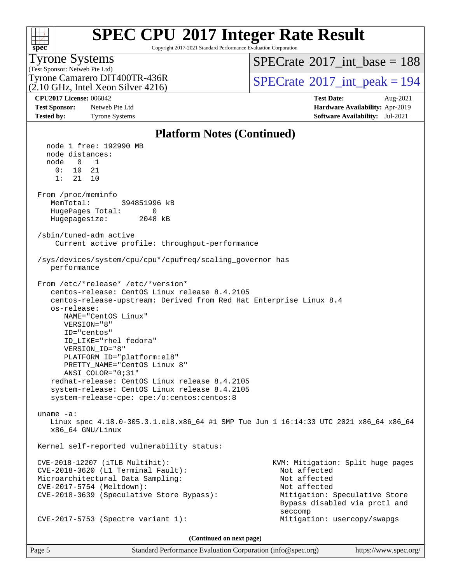# **[spec](http://www.spec.org/)**

# **[SPEC CPU](http://www.spec.org/auto/cpu2017/Docs/result-fields.html#SPECCPU2017IntegerRateResult)[2017 Integer Rate Result](http://www.spec.org/auto/cpu2017/Docs/result-fields.html#SPECCPU2017IntegerRateResult)**

Copyright 2017-2021 Standard Performance Evaluation Corporation

### Tyrone Systems

(Test Sponsor: Netweb Pte Ltd) (2.10 GHz, Intel Xeon Silver 4216)  $SPECTate$ <sup>®</sup>[2017\\_int\\_base =](http://www.spec.org/auto/cpu2017/Docs/result-fields.html#SPECrate2017intbase) 188

Tyrone Camarero DIT400TR-436R<br> $\alpha$  10 GHz, Intel Xeon Silver 4216)<br> $\begin{array}{c} | \text{SPECrate}^{\circ}2017 \text{__int\_peak} = 194 \end{array}$  $\begin{array}{c} | \text{SPECrate}^{\circ}2017 \text{__int\_peak} = 194 \end{array}$  $\begin{array}{c} | \text{SPECrate}^{\circ}2017 \text{__int\_peak} = 194 \end{array}$ 

**[CPU2017 License:](http://www.spec.org/auto/cpu2017/Docs/result-fields.html#CPU2017License)** 006042 **[Test Date:](http://www.spec.org/auto/cpu2017/Docs/result-fields.html#TestDate)** Aug-2021 **[Test Sponsor:](http://www.spec.org/auto/cpu2017/Docs/result-fields.html#TestSponsor)** Netweb Pte Ltd **[Hardware Availability:](http://www.spec.org/auto/cpu2017/Docs/result-fields.html#HardwareAvailability)** Apr-2019 **[Tested by:](http://www.spec.org/auto/cpu2017/Docs/result-fields.html#Testedby)** Tyrone Systems **[Software Availability:](http://www.spec.org/auto/cpu2017/Docs/result-fields.html#SoftwareAvailability)** Jul-2021

### **[Platform Notes \(Continued\)](http://www.spec.org/auto/cpu2017/Docs/result-fields.html#PlatformNotes)**

 node 1 free: 192990 MB node distances: node 0 1 0: 10 21 1: 21 10 From /proc/meminfo MemTotal: 394851996 kB HugePages\_Total: 0 Hugepagesize: 2048 kB /sbin/tuned-adm active Current active profile: throughput-performance /sys/devices/system/cpu/cpu\*/cpufreq/scaling\_governor has performance From /etc/\*release\* /etc/\*version\* centos-release: CentOS Linux release 8.4.2105 centos-release-upstream: Derived from Red Hat Enterprise Linux 8.4 os-release: NAME="CentOS Linux" VERSION="8" ID="centos" ID\_LIKE="rhel fedora" VERSION\_ID="8" PLATFORM\_ID="platform:el8" PRETTY\_NAME="CentOS Linux 8" ANSI\_COLOR="0;31" redhat-release: CentOS Linux release 8.4.2105 system-release: CentOS Linux release 8.4.2105 system-release-cpe: cpe:/o:centos:centos:8 uname -a: Linux spec 4.18.0-305.3.1.el8.x86\_64 #1 SMP Tue Jun 1 16:14:33 UTC 2021 x86\_64 x86\_64 x86\_64 GNU/Linux Kernel self-reported vulnerability status: CVE-2018-12207 (iTLB Multihit): KVM: Mitigation: Split huge pages CVE-2018-3620 (L1 Terminal Fault): Not affected Microarchitectural Data Sampling: Not affected CVE-2017-5754 (Meltdown): Not affected CVE-2018-3639 (Speculative Store Bypass): Mitigation: Speculative Store Bypass disabled via prctl and seccompany and the control of the control of the control of the second seconds of the control of the control of the control of the control of the control of the control of the control of the control of the control of the c CVE-2017-5753 (Spectre variant 1): Mitigation: usercopy/swapgs **(Continued on next page)**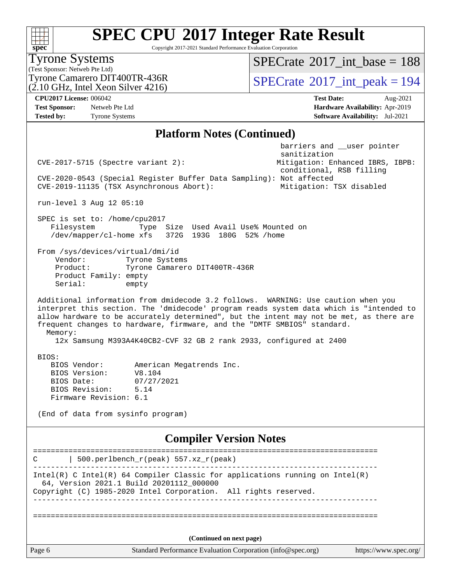Copyright 2017-2021 Standard Performance Evaluation Corporation

(Test Sponsor: Netweb Pte Ltd) Tyrone Systems  $(2.10 \text{ GHz}, \text{Intel Xeon Silver } 4216)$ Tyrone Camarero DIT400TR-436R<br> $\frac{1}{2}$  [SPECrate](http://www.spec.org/auto/cpu2017/Docs/result-fields.html#SPECrate2017intpeak) [2017\\_int\\_peak = 1](http://www.spec.org/auto/cpu2017/Docs/result-fields.html#SPECrate2017intpeak)94  $SPECrate$ <sup>®</sup>[2017\\_int\\_base =](http://www.spec.org/auto/cpu2017/Docs/result-fields.html#SPECrate2017intbase) 188 **[CPU2017 License:](http://www.spec.org/auto/cpu2017/Docs/result-fields.html#CPU2017License)** 006042 **[Test Date:](http://www.spec.org/auto/cpu2017/Docs/result-fields.html#TestDate)** Aug-2021 **[Test Sponsor:](http://www.spec.org/auto/cpu2017/Docs/result-fields.html#TestSponsor)** Netweb Pte Ltd **[Hardware Availability:](http://www.spec.org/auto/cpu2017/Docs/result-fields.html#HardwareAvailability)** Apr-2019 **[Tested by:](http://www.spec.org/auto/cpu2017/Docs/result-fields.html#Testedby)** Tyrone Systems **[Software Availability:](http://www.spec.org/auto/cpu2017/Docs/result-fields.html#SoftwareAvailability)** Jul-2021 **[Platform Notes \(Continued\)](http://www.spec.org/auto/cpu2017/Docs/result-fields.html#PlatformNotes)** barriers and \_\_user pointer sanitization CVE-2017-5715 (Spectre variant 2): Mitigation: Enhanced IBRS, IBPB: conditional, RSB filling CVE-2020-0543 (Special Register Buffer Data Sampling): Not affected CVE-2019-11135 (TSX Asynchronous Abort): Mitigation: TSX disabled run-level 3 Aug 12 05:10 SPEC is set to: /home/cpu2017 Filesystem Type Size Used Avail Use% Mounted on /dev/mapper/cl-home xfs 372G 193G 180G 52% /home From /sys/devices/virtual/dmi/id Vendor: Tyrone Systems Product: Tyrone Camarero DIT400TR-436R Product Family: empty Serial: empty Additional information from dmidecode 3.2 follows. WARNING: Use caution when you interpret this section. The 'dmidecode' program reads system data which is "intended to allow hardware to be accurately determined", but the intent may not be met, as there are frequent changes to hardware, firmware, and the "DMTF SMBIOS" standard. Memory: 12x Samsung M393A4K40CB2-CVF 32 GB 2 rank 2933, configured at 2400 BIOS: BIOS Vendor: American Megatrends Inc. BIOS Version: V8.104 BIOS Date: 07/27/2021 BIOS Revision: 5.14 Firmware Revision: 6.1 (End of data from sysinfo program) **[Compiler Version Notes](http://www.spec.org/auto/cpu2017/Docs/result-fields.html#CompilerVersionNotes)** ==============================================================================  $C$  | 500.perlbench\_r(peak) 557.xz\_r(peak) ------------------------------------------------------------------------------ Intel(R) C Intel(R) 64 Compiler Classic for applications running on Intel(R) 64, Version 2021.1 Build 20201112\_000000 Copyright (C) 1985-2020 Intel Corporation. All rights reserved. ==============================================================================

**(Continued on next page)**

**[spec](http://www.spec.org/)**

Page 6 Standard Performance Evaluation Corporation [\(info@spec.org\)](mailto:info@spec.org) <https://www.spec.org/>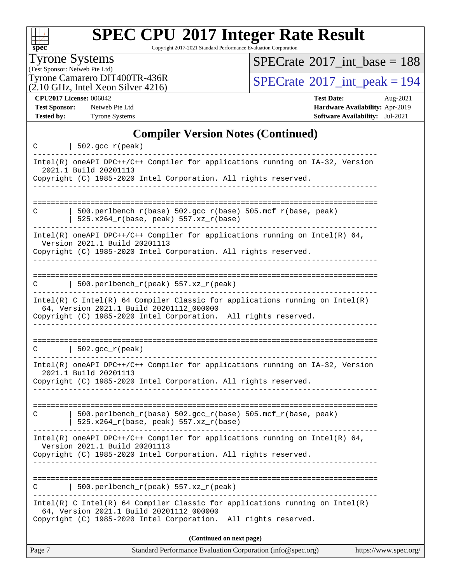| S | ne | Ľ |  |
|---|----|---|--|

Copyright 2017-2021 Standard Performance Evaluation Corporation

Tyrone Systems

(Test Sponsor: Netweb Pte Ltd)  $(2.10 \text{ GHz}, \text{Intel Xeon Silver } 4216)$   $SPECrate$ <sup>®</sup>[2017\\_int\\_base =](http://www.spec.org/auto/cpu2017/Docs/result-fields.html#SPECrate2017intbase) 188

Tyrone Camarero DIT400TR-436R<br>(2.10 GHz, Intel Xeon Silver 4216)<br> $\text{SPECrate}$  $\text{SPECrate}$  $\text{SPECrate}$ <sup>®</sup>[2017\\_int\\_peak = 1](http://www.spec.org/auto/cpu2017/Docs/result-fields.html#SPECrate2017intpeak)94

**[CPU2017 License:](http://www.spec.org/auto/cpu2017/Docs/result-fields.html#CPU2017License)** 006042 **[Test Date:](http://www.spec.org/auto/cpu2017/Docs/result-fields.html#TestDate)** Aug-2021 **[Test Sponsor:](http://www.spec.org/auto/cpu2017/Docs/result-fields.html#TestSponsor)** Netweb Pte Ltd **[Hardware Availability:](http://www.spec.org/auto/cpu2017/Docs/result-fields.html#HardwareAvailability)** Apr-2019 **[Tested by:](http://www.spec.org/auto/cpu2017/Docs/result-fields.html#Testedby)** Tyrone Systems **[Software Availability:](http://www.spec.org/auto/cpu2017/Docs/result-fields.html#SoftwareAvailability)** Jul-2021

#### **[Compiler Version Notes \(Continued\)](http://www.spec.org/auto/cpu2017/Docs/result-fields.html#CompilerVersionNotes)**

| C      | $502.$ gcc_r(peak)                                                                                                         |
|--------|----------------------------------------------------------------------------------------------------------------------------|
|        | Intel(R) oneAPI DPC++/C++ Compiler for applications running on IA-32, Version<br>2021.1 Build 20201113                     |
|        | Copyright (C) 1985-2020 Intel Corporation. All rights reserved.                                                            |
|        |                                                                                                                            |
| С      | 500.perlbench_r(base) 502.gcc_r(base) 505.mcf_r(base, peak)<br>525.x264_r(base, peak) 557.xz_r(base)                       |
|        | $Intel(R)$ oneAPI DPC++/C++ Compiler for applications running on Intel(R) 64,<br>Version 2021.1 Build 20201113             |
|        | Copyright (C) 1985-2020 Intel Corporation. All rights reserved.                                                            |
|        | 500.perlbench_r(peak) 557.xz_r(peak)                                                                                       |
| С      |                                                                                                                            |
|        | Intel(R) C Intel(R) 64 Compiler Classic for applications running on Intel(R)<br>64, Version 2021.1 Build 20201112_000000   |
|        | Copyright (C) 1985-2020 Intel Corporation. All rights reserved.                                                            |
|        |                                                                                                                            |
| C      | $\vert$ 502.gcc_r(peak)                                                                                                    |
|        | Intel(R) oneAPI DPC++/C++ Compiler for applications running on IA-32, Version<br>2021.1 Build 20201113                     |
|        | Copyright (C) 1985-2020 Intel Corporation. All rights reserved.                                                            |
|        |                                                                                                                            |
| C      | $500. perlbench_r(base) 502. gcc_r(base) 505.mcf_r(base, peak)$<br>525.x264_r(base, peak) 557.xz_r(base)                   |
|        | $Intel(R)$ oneAPI DPC++/C++ Compiler for applications running on Intel(R) 64,<br>Version 2021.1 Build 20201113             |
|        | Copyright (C) 1985-2020 Intel Corporation. All rights reserved.                                                            |
|        |                                                                                                                            |
|        | 500.perlbench_r(peak) 557.xz_r(peak)                                                                                       |
|        | Intel(R) C Intel(R) 64 Compiler Classic for applications running on $Intel(R)$<br>64, Version 2021.1 Build 20201112_000000 |
|        | Copyright (C) 1985-2020 Intel Corporation.<br>All rights reserved.                                                         |
|        | (Continued on next page)                                                                                                   |
| Page 7 | Standard Performance Evaluation Corporation (info@spec.org)<br>https://www.spec.org/                                       |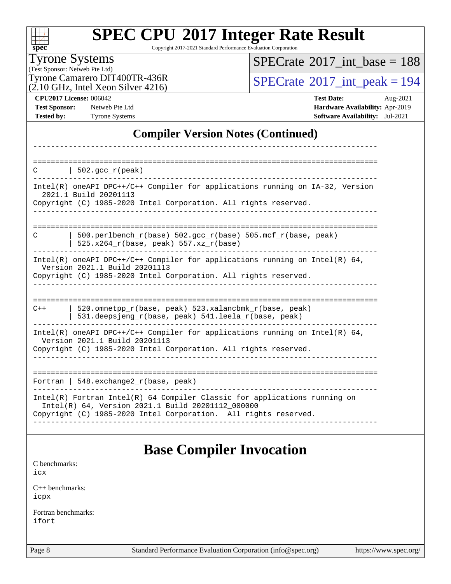| s | ne | L. |  |
|---|----|----|--|

Copyright 2017-2021 Standard Performance Evaluation Corporation

### Tyrone Systems

(Test Sponsor: Netweb Pte Ltd)  $(2.10 \text{ GHz}, \text{Intel Xeon Silver } 4216)$   $SPECrate$ <sup>®</sup>[2017\\_int\\_base =](http://www.spec.org/auto/cpu2017/Docs/result-fields.html#SPECrate2017intbase) 188

Tyrone Camarero DIT400TR-436R<br> $(2.10 \text{ GHz})$  Intel Xeon Silver 4216)

**[CPU2017 License:](http://www.spec.org/auto/cpu2017/Docs/result-fields.html#CPU2017License)** 006042 **[Test Date:](http://www.spec.org/auto/cpu2017/Docs/result-fields.html#TestDate)** Aug-2021 **[Test Sponsor:](http://www.spec.org/auto/cpu2017/Docs/result-fields.html#TestSponsor)** Netweb Pte Ltd **[Hardware Availability:](http://www.spec.org/auto/cpu2017/Docs/result-fields.html#HardwareAvailability)** Apr-2019 **[Tested by:](http://www.spec.org/auto/cpu2017/Docs/result-fields.html#Testedby)** Tyrone Systems **[Software Availability:](http://www.spec.org/auto/cpu2017/Docs/result-fields.html#SoftwareAvailability)** Jul-2021

### **[Compiler Version Notes \(Continued\)](http://www.spec.org/auto/cpu2017/Docs/result-fields.html#CompilerVersionNotes)**

| C     | 502.gcc $r(\text{peak})$                                                                                                                                                           |
|-------|------------------------------------------------------------------------------------------------------------------------------------------------------------------------------------|
|       | $Intel(R)$ oneAPI DPC++/C++ Compiler for applications running on $IA-32$ , Version<br>2021.1 Build 20201113                                                                        |
|       | Copyright (C) 1985-2020 Intel Corporation. All rights reserved.                                                                                                                    |
|       |                                                                                                                                                                                    |
| C     | 500.perlbench $r(base)$ 502.qcc $r(base)$ 505.mcf $r(base, peak)$<br>$525.x264_r(base, peak) 557.xz_r(base)$                                                                       |
|       | Intel(R) oneAPI DPC++/C++ Compiler for applications running on Intel(R) $64$ ,<br>Version 2021.1 Build 20201113<br>Copyright (C) 1985-2020 Intel Corporation. All rights reserved. |
|       |                                                                                                                                                                                    |
|       |                                                                                                                                                                                    |
| $C++$ | 520.omnetpp_r(base, peak) 523.xalancbmk_r(base, peak)<br>531.deepsjeng_r(base, peak) 541.leela_r(base, peak)                                                                       |
|       | Intel(R) oneAPI DPC++/C++ Compiler for applications running on Intel(R) $64$ ,<br>Version 2021.1 Build 20201113                                                                    |
|       | Copyright (C) 1985-2020 Intel Corporation. All rights reserved.                                                                                                                    |
|       |                                                                                                                                                                                    |
|       | Fortran   548. $exchange2 r(base, peak)$                                                                                                                                           |
|       | Intel(R) Fortran Intel(R) 64 Compiler Classic for applications running on<br>Intel(R) 64, Version 2021.1 Build 20201112_000000                                                     |
|       | Copyright (C) 1985-2020 Intel Corporation. All rights reserved.                                                                                                                    |
|       |                                                                                                                                                                                    |

### **[Base Compiler Invocation](http://www.spec.org/auto/cpu2017/Docs/result-fields.html#BaseCompilerInvocation)**

[C benchmarks](http://www.spec.org/auto/cpu2017/Docs/result-fields.html#Cbenchmarks): [icx](http://www.spec.org/cpu2017/results/res2021q3/cpu2017-20210824-28903.flags.html#user_CCbase_intel_icx_fe2d28d19ae2a5db7c42fe0f2a2aed77cb715edd4aeb23434404a8be6683fe239869bb6ca8154ca98265c2e3b9226a719a0efe2953a4a7018c379b7010ccf087)

[C++ benchmarks:](http://www.spec.org/auto/cpu2017/Docs/result-fields.html#CXXbenchmarks) [icpx](http://www.spec.org/cpu2017/results/res2021q3/cpu2017-20210824-28903.flags.html#user_CXXbase_intel_icpx_1e918ed14c436bf4b9b7c8bcdd51d4539fc71b3df010bd1e9f8732d9c34c2b2914e48204a846820f3c0ebb4095dea797a5c30b458ac0b6dffac65d78f781f5ca)

[Fortran benchmarks](http://www.spec.org/auto/cpu2017/Docs/result-fields.html#Fortranbenchmarks): [ifort](http://www.spec.org/cpu2017/results/res2021q3/cpu2017-20210824-28903.flags.html#user_FCbase_intel_ifort_8111460550e3ca792625aed983ce982f94888b8b503583aa7ba2b8303487b4d8a21a13e7191a45c5fd58ff318f48f9492884d4413fa793fd88dd292cad7027ca)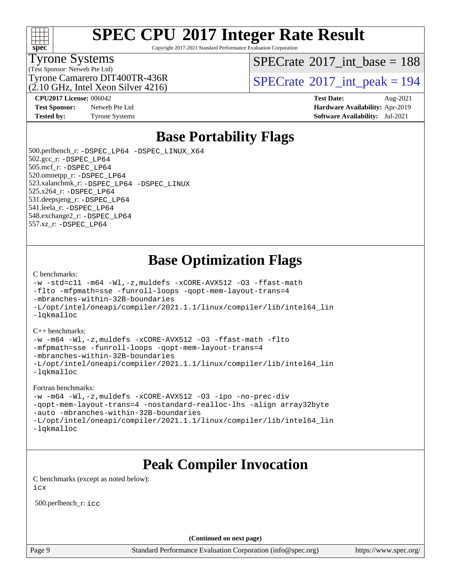

Copyright 2017-2021 Standard Performance Evaluation Corporation

#### Tyrone Systems

(Test Sponsor: Netweb Pte Ltd)

 $SPECTate$ <sup>®</sup>[2017\\_int\\_base =](http://www.spec.org/auto/cpu2017/Docs/result-fields.html#SPECrate2017intbase) 188

(2.10 GHz, Intel Xeon Silver 4216)

**[Test Sponsor:](http://www.spec.org/auto/cpu2017/Docs/result-fields.html#TestSponsor)** Netweb Pte Ltd **[Hardware Availability:](http://www.spec.org/auto/cpu2017/Docs/result-fields.html#HardwareAvailability)** Apr-2019 **[Tested by:](http://www.spec.org/auto/cpu2017/Docs/result-fields.html#Testedby)** Tyrone Systems **[Software Availability:](http://www.spec.org/auto/cpu2017/Docs/result-fields.html#SoftwareAvailability)** Jul-2021

Tyrone Camarero DIT400TR-436R<br> $(2.10 \text{ GHz, Intel Yoon Silver } 4216)$  [SPECrate](http://www.spec.org/auto/cpu2017/Docs/result-fields.html#SPECrate2017intpeak)®[2017\\_int\\_peak = 1](http://www.spec.org/auto/cpu2017/Docs/result-fields.html#SPECrate2017intpeak)94

**[CPU2017 License:](http://www.spec.org/auto/cpu2017/Docs/result-fields.html#CPU2017License)** 006042 **[Test Date:](http://www.spec.org/auto/cpu2017/Docs/result-fields.html#TestDate)** Aug-2021

### **[Base Portability Flags](http://www.spec.org/auto/cpu2017/Docs/result-fields.html#BasePortabilityFlags)**

 500.perlbench\_r: [-DSPEC\\_LP64](http://www.spec.org/cpu2017/results/res2021q3/cpu2017-20210824-28903.flags.html#b500.perlbench_r_basePORTABILITY_DSPEC_LP64) [-DSPEC\\_LINUX\\_X64](http://www.spec.org/cpu2017/results/res2021q3/cpu2017-20210824-28903.flags.html#b500.perlbench_r_baseCPORTABILITY_DSPEC_LINUX_X64) 502.gcc\_r: [-DSPEC\\_LP64](http://www.spec.org/cpu2017/results/res2021q3/cpu2017-20210824-28903.flags.html#suite_basePORTABILITY502_gcc_r_DSPEC_LP64) 505.mcf\_r: [-DSPEC\\_LP64](http://www.spec.org/cpu2017/results/res2021q3/cpu2017-20210824-28903.flags.html#suite_basePORTABILITY505_mcf_r_DSPEC_LP64) 520.omnetpp\_r: [-DSPEC\\_LP64](http://www.spec.org/cpu2017/results/res2021q3/cpu2017-20210824-28903.flags.html#suite_basePORTABILITY520_omnetpp_r_DSPEC_LP64) 523.xalancbmk\_r: [-DSPEC\\_LP64](http://www.spec.org/cpu2017/results/res2021q3/cpu2017-20210824-28903.flags.html#suite_basePORTABILITY523_xalancbmk_r_DSPEC_LP64) [-DSPEC\\_LINUX](http://www.spec.org/cpu2017/results/res2021q3/cpu2017-20210824-28903.flags.html#b523.xalancbmk_r_baseCXXPORTABILITY_DSPEC_LINUX) 525.x264\_r: [-DSPEC\\_LP64](http://www.spec.org/cpu2017/results/res2021q3/cpu2017-20210824-28903.flags.html#suite_basePORTABILITY525_x264_r_DSPEC_LP64) 531.deepsjeng\_r: [-DSPEC\\_LP64](http://www.spec.org/cpu2017/results/res2021q3/cpu2017-20210824-28903.flags.html#suite_basePORTABILITY531_deepsjeng_r_DSPEC_LP64) 541.leela\_r: [-DSPEC\\_LP64](http://www.spec.org/cpu2017/results/res2021q3/cpu2017-20210824-28903.flags.html#suite_basePORTABILITY541_leela_r_DSPEC_LP64) 548.exchange2\_r: [-DSPEC\\_LP64](http://www.spec.org/cpu2017/results/res2021q3/cpu2017-20210824-28903.flags.html#suite_basePORTABILITY548_exchange2_r_DSPEC_LP64) 557.xz\_r: [-DSPEC\\_LP64](http://www.spec.org/cpu2017/results/res2021q3/cpu2017-20210824-28903.flags.html#suite_basePORTABILITY557_xz_r_DSPEC_LP64)

### **[Base Optimization Flags](http://www.spec.org/auto/cpu2017/Docs/result-fields.html#BaseOptimizationFlags)**

#### [C benchmarks](http://www.spec.org/auto/cpu2017/Docs/result-fields.html#Cbenchmarks):

```
-w -std=c11 -m64 -Wl,-z,muldefs -xCORE-AVX512 -O3 -ffast-math
-flto -mfpmath=sse -funroll-loops -qopt-mem-layout-trans=4
-mbranches-within-32B-boundaries
-L/opt/intel/oneapi/compiler/2021.1.1/linux/compiler/lib/intel64_lin
-lqkmalloc
```
#### [C++ benchmarks:](http://www.spec.org/auto/cpu2017/Docs/result-fields.html#CXXbenchmarks)

```
-w -m64 -Wl,-z,muldefs -xCORE-AVX512 -O3 -ffast-math -flto
-mfpmath=sse -funroll-loops -qopt-mem-layout-trans=4
-mbranches-within-32B-boundaries
-L/opt/intel/oneapi/compiler/2021.1.1/linux/compiler/lib/intel64_lin
-lqkmalloc
```
#### [Fortran benchmarks](http://www.spec.org/auto/cpu2017/Docs/result-fields.html#Fortranbenchmarks):

```
-w -m64 -Wl,-z,muldefs -xCORE-AVX512 -O3 -ipo -no-prec-div
-qopt-mem-layout-trans=4 -nostandard-realloc-lhs -align array32byte
-auto -mbranches-within-32B-boundaries
-L/opt/intel/oneapi/compiler/2021.1.1/linux/compiler/lib/intel64_lin
-lqkmalloc
```
### **[Peak Compiler Invocation](http://www.spec.org/auto/cpu2017/Docs/result-fields.html#PeakCompilerInvocation)**

[C benchmarks \(except as noted below\)](http://www.spec.org/auto/cpu2017/Docs/result-fields.html#Cbenchmarksexceptasnotedbelow): [icx](http://www.spec.org/cpu2017/results/res2021q3/cpu2017-20210824-28903.flags.html#user_CCpeak_intel_icx_fe2d28d19ae2a5db7c42fe0f2a2aed77cb715edd4aeb23434404a8be6683fe239869bb6ca8154ca98265c2e3b9226a719a0efe2953a4a7018c379b7010ccf087)

500.perlbench\_r: [icc](http://www.spec.org/cpu2017/results/res2021q3/cpu2017-20210824-28903.flags.html#user_peakCCLD500_perlbench_r_intel_icc_66fc1ee009f7361af1fbd72ca7dcefbb700085f36577c54f309893dd4ec40d12360134090235512931783d35fd58c0460139e722d5067c5574d8eaf2b3e37e92)

**(Continued on next page)**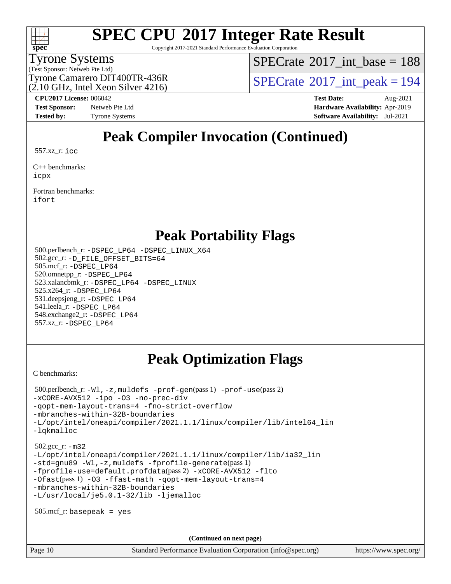

Copyright 2017-2021 Standard Performance Evaluation Corporation

### Tyrone Systems

(Test Sponsor: Netweb Pte Ltd)

 $SPECTate$ <sup>®</sup>[2017\\_int\\_base =](http://www.spec.org/auto/cpu2017/Docs/result-fields.html#SPECrate2017intbase) 188

(2.10 GHz, Intel Xeon Silver 4216)

Tyrone Camarero DIT400TR-436R<br> $(2.10 \text{ GHz, Intel Yoon Silver } 4216)$  [SPECrate](http://www.spec.org/auto/cpu2017/Docs/result-fields.html#SPECrate2017intpeak)®[2017\\_int\\_peak = 1](http://www.spec.org/auto/cpu2017/Docs/result-fields.html#SPECrate2017intpeak)94

**[Tested by:](http://www.spec.org/auto/cpu2017/Docs/result-fields.html#Testedby)** Tyrone Systems **[Software Availability:](http://www.spec.org/auto/cpu2017/Docs/result-fields.html#SoftwareAvailability)** Jul-2021

**[CPU2017 License:](http://www.spec.org/auto/cpu2017/Docs/result-fields.html#CPU2017License)** 006042 **[Test Date:](http://www.spec.org/auto/cpu2017/Docs/result-fields.html#TestDate)** Aug-2021 **[Test Sponsor:](http://www.spec.org/auto/cpu2017/Docs/result-fields.html#TestSponsor)** Netweb Pte Ltd **[Hardware Availability:](http://www.spec.org/auto/cpu2017/Docs/result-fields.html#HardwareAvailability)** Apr-2019

### **[Peak Compiler Invocation \(Continued\)](http://www.spec.org/auto/cpu2017/Docs/result-fields.html#PeakCompilerInvocation)**

557.xz\_r: [icc](http://www.spec.org/cpu2017/results/res2021q3/cpu2017-20210824-28903.flags.html#user_peakCCLD557_xz_r_intel_icc_66fc1ee009f7361af1fbd72ca7dcefbb700085f36577c54f309893dd4ec40d12360134090235512931783d35fd58c0460139e722d5067c5574d8eaf2b3e37e92)

[C++ benchmarks:](http://www.spec.org/auto/cpu2017/Docs/result-fields.html#CXXbenchmarks) [icpx](http://www.spec.org/cpu2017/results/res2021q3/cpu2017-20210824-28903.flags.html#user_CXXpeak_intel_icpx_1e918ed14c436bf4b9b7c8bcdd51d4539fc71b3df010bd1e9f8732d9c34c2b2914e48204a846820f3c0ebb4095dea797a5c30b458ac0b6dffac65d78f781f5ca)

[Fortran benchmarks](http://www.spec.org/auto/cpu2017/Docs/result-fields.html#Fortranbenchmarks): [ifort](http://www.spec.org/cpu2017/results/res2021q3/cpu2017-20210824-28903.flags.html#user_FCpeak_intel_ifort_8111460550e3ca792625aed983ce982f94888b8b503583aa7ba2b8303487b4d8a21a13e7191a45c5fd58ff318f48f9492884d4413fa793fd88dd292cad7027ca)

### **[Peak Portability Flags](http://www.spec.org/auto/cpu2017/Docs/result-fields.html#PeakPortabilityFlags)**

 500.perlbench\_r: [-DSPEC\\_LP64](http://www.spec.org/cpu2017/results/res2021q3/cpu2017-20210824-28903.flags.html#b500.perlbench_r_peakPORTABILITY_DSPEC_LP64) [-DSPEC\\_LINUX\\_X64](http://www.spec.org/cpu2017/results/res2021q3/cpu2017-20210824-28903.flags.html#b500.perlbench_r_peakCPORTABILITY_DSPEC_LINUX_X64) 502.gcc\_r: [-D\\_FILE\\_OFFSET\\_BITS=64](http://www.spec.org/cpu2017/results/res2021q3/cpu2017-20210824-28903.flags.html#user_peakPORTABILITY502_gcc_r_file_offset_bits_64_5ae949a99b284ddf4e95728d47cb0843d81b2eb0e18bdfe74bbf0f61d0b064f4bda2f10ea5eb90e1dcab0e84dbc592acfc5018bc955c18609f94ddb8d550002c) 505.mcf\_r: [-DSPEC\\_LP64](http://www.spec.org/cpu2017/results/res2021q3/cpu2017-20210824-28903.flags.html#suite_peakPORTABILITY505_mcf_r_DSPEC_LP64) 520.omnetpp\_r: [-DSPEC\\_LP64](http://www.spec.org/cpu2017/results/res2021q3/cpu2017-20210824-28903.flags.html#suite_peakPORTABILITY520_omnetpp_r_DSPEC_LP64) 523.xalancbmk\_r: [-DSPEC\\_LP64](http://www.spec.org/cpu2017/results/res2021q3/cpu2017-20210824-28903.flags.html#suite_peakPORTABILITY523_xalancbmk_r_DSPEC_LP64) [-DSPEC\\_LINUX](http://www.spec.org/cpu2017/results/res2021q3/cpu2017-20210824-28903.flags.html#b523.xalancbmk_r_peakCXXPORTABILITY_DSPEC_LINUX) 525.x264\_r: [-DSPEC\\_LP64](http://www.spec.org/cpu2017/results/res2021q3/cpu2017-20210824-28903.flags.html#suite_peakPORTABILITY525_x264_r_DSPEC_LP64) 531.deepsjeng\_r: [-DSPEC\\_LP64](http://www.spec.org/cpu2017/results/res2021q3/cpu2017-20210824-28903.flags.html#suite_peakPORTABILITY531_deepsjeng_r_DSPEC_LP64) 541.leela\_r: [-DSPEC\\_LP64](http://www.spec.org/cpu2017/results/res2021q3/cpu2017-20210824-28903.flags.html#suite_peakPORTABILITY541_leela_r_DSPEC_LP64) 548.exchange2\_r: [-DSPEC\\_LP64](http://www.spec.org/cpu2017/results/res2021q3/cpu2017-20210824-28903.flags.html#suite_peakPORTABILITY548_exchange2_r_DSPEC_LP64) 557.xz\_r: [-DSPEC\\_LP64](http://www.spec.org/cpu2017/results/res2021q3/cpu2017-20210824-28903.flags.html#suite_peakPORTABILITY557_xz_r_DSPEC_LP64)

### **[Peak Optimization Flags](http://www.spec.org/auto/cpu2017/Docs/result-fields.html#PeakOptimizationFlags)**

[C benchmarks](http://www.spec.org/auto/cpu2017/Docs/result-fields.html#Cbenchmarks):

```
 500.perlbench_r: -Wl,-z,muldefs -prof-gen(pass 1) -prof-use(pass 2)
-xCORE-AVX512 -ipo -O3 -no-prec-div
-qopt-mem-layout-trans=4 -fno-strict-overflow
-mbranches-within-32B-boundaries
-L/opt/intel/oneapi/compiler/2021.1.1/linux/compiler/lib/intel64_lin
-lqkmalloc
 502.gcc_r: -m32
-L/opt/intel/oneapi/compiler/2021.1.1/linux/compiler/lib/ia32_lin
-std=gnu89 -Wl,-z,muldefs -fprofile-generate(pass 1)
-fprofile-use=default.profdata(pass 2) -xCORE-AVX512 -flto
-Ofast(pass 1) -O3 -ffast-math -qopt-mem-layout-trans=4
-mbranches-within-32B-boundaries
-L/usr/local/je5.0.1-32/lib -ljemalloc
 505.mcf_r: basepeak = yes
```
**(Continued on next page)**